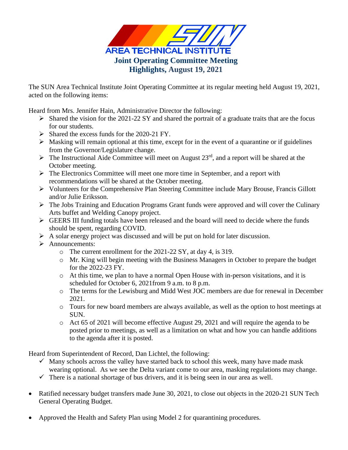

The SUN Area Technical Institute Joint Operating Committee at its regular meeting held August 19, 2021, acted on the following items:

Heard from Mrs. Jennifer Hain, Administrative Director the following:

- $\triangleright$  Shared the vision for the 2021-22 SY and shared the portrait of a graduate traits that are the focus for our students.
- $\triangleright$  Shared the excess funds for the 2020-21 FY.
- $\triangleright$  Masking will remain optional at this time, except for in the event of a quarantine or if guidelines from the Governor/Legislature change.
- $\triangleright$  The Instructional Aide Committee will meet on August 23<sup>rd</sup>, and a report will be shared at the October meeting.
- ➢ The Electronics Committee will meet one more time in September, and a report with recommendations will be shared at the October meeting.
- ➢ Volunteers for the Comprehensive Plan Steering Committee include Mary Brouse, Francis Gillott and/or Julie Eriksson.
- ➢ The Jobs Training and Education Programs Grant funds were approved and will cover the Culinary Arts buffet and Welding Canopy project.
- ➢ GEERS III funding totals have been released and the board will need to decide where the funds should be spent, regarding COVID.
- $\triangleright$  A solar energy project was discussed and will be put on hold for later discussion.
- ➢ Announcements:
	- o The current enrollment for the 2021-22 SY, at day 4, is 319.
	- o Mr. King will begin meeting with the Business Managers in October to prepare the budget for the 2022-23 FY.
	- o At this time, we plan to have a normal Open House with in-person visitations, and it is scheduled for October 6, 2021from 9 a.m. to 8 p.m.
	- o The terms for the Lewisburg and Midd West JOC members are due for renewal in December 2021.
	- o Tours for new board members are always available, as well as the option to host meetings at SUN.
	- o Act 65 of 2021 will become effective August 29, 2021 and will require the agenda to be posted prior to meetings, as well as a limitation on what and how you can handle additions to the agenda after it is posted.

Heard from Superintendent of Record, Dan Lichtel, the following:

- $\checkmark$  Many schools across the valley have started back to school this week, many have made mask wearing optional. As we see the Delta variant come to our area, masking regulations may change.
- $\checkmark$  There is a national shortage of bus drivers, and it is being seen in our area as well.
- Ratified necessary budget transfers made June 30, 2021, to close out objects in the 2020-21 SUN Tech General Operating Budget.
- Approved the Health and Safety Plan using Model 2 for quarantining procedures.